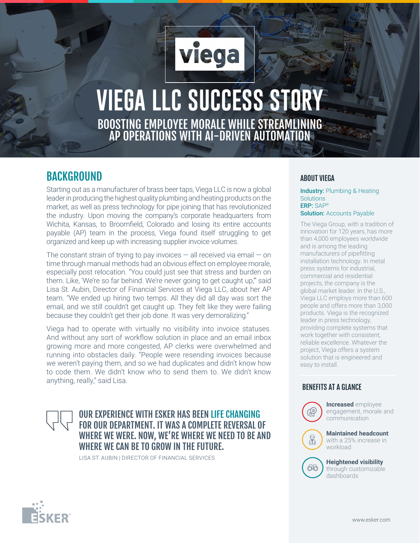# **VIEGA LLC SUCCESS STORY** BOOSTING EMPLOYEE MORALE WHILE STREAMLINING AP OPERATIONS WITH AI-DRIVEN AUTOMATION

viega

## **BACKGROUND**

Starting out as a manufacturer of brass beer taps, Viega LLC is now a global leader in producing the highest quality plumbing and heating products on the market, as well as press technology for pipe joining that has revolutionized the industry. Upon moving the company's corporate headquarters from Wichita, Kansas, to Broomfield, Colorado and losing its entire accounts payable (AP) team in the process, Viega found itself struggling to get organized and keep up with increasing supplier invoice volumes.

The constant strain of trying to pay invoices  $-$  all received via email  $-$  on time through manual methods had an obvious effect on employee morale, especially post relocation. "You could just see that stress and burden on them. Like, 'We're so far behind. We're never going to get caught up,'" said Lisa St. Aubin, Director of Financial Services at Viega LLC, about her AP team. "We ended up hiring two temps. All they did all day was sort the email, and we still couldn't get caught up. They felt like they were failing because they couldn't get their job done. It was very demoralizing."

Viega had to operate with virtually no visibility into invoice statuses. And without any sort of workflow solution in place and an email inbox growing more and more congested, AP clerks were overwhelmed and running into obstacles daily. "People were resending invoices because we weren't paying them, and so we had duplicates and didn't know how to code them. We didn't know who to send them to. We didn't know anything, really," said Lisa.

## OUR EXPERIENCE WITH ESKER HAS BEEN LIFE CHANGING FOR OUR DEPARTMENT. IT WAS A COMPLETE REVERSAL OF WHERE WE WERE. NOW, WE'RE WHERE WE NEED TO BE AND WHERE WE CAN BE TO GROW IN THE FUTURE.

LISA ST. AUBIN | DIRECTOR OF FINANCIAL SERVICES

#### ABOUT VIEGA

Industry: Plumbing & Heating **Solutions** ERP: SAP® **Solution: Accounts Payable** 

The Viega Group, with a tradition of innovation for 120 years, has more than 4,000 employees worldwide and is among the leading manufacturers of pipefitting installation technology. In metal press systems for industrial, commercial and residential projects, the company is the global market leader. In the U.S., Viega LLC employs more than 600 people and offers more than 3,000 products. Viega is the recognized leader in press technology, providing complete systems that work together with consistent, reliable excellence. Whatever the project, Viega offers a system solution that is engineered and easy to install.

### BENEFITS AT A GLANCE



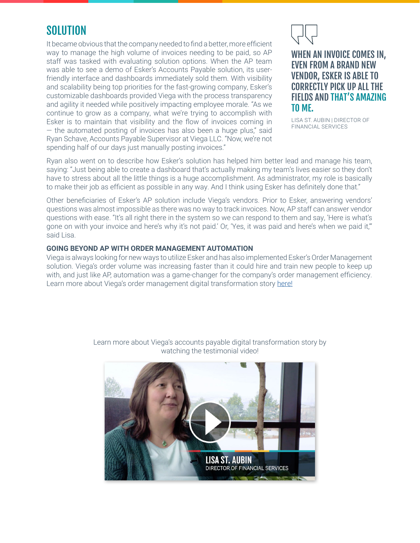## **SOLUTION**

It became obvious that the company needed to find a better, more efficient way to manage the high volume of invoices needing to be paid, so AP staff was tasked with evaluating solution options. When the AP team was able to see a demo of Esker's Accounts Payable solution, its userfriendly interface and dashboards immediately sold them. With visibility and scalability being top priorities for the fast-growing company, Esker's customizable dashboards provided Viega with the process transparency and agility it needed while positively impacting employee morale. "As we continue to grow as a company, what we're trying to accomplish with Esker is to maintain that visibility and the flow of invoices coming in — the automated posting of invoices has also been a huge plus," said Ryan Schave, Accounts Payable Supervisor at Viega LLC. "Now, we're not spending half of our days just manually posting invoices."



## WHEN AN INVOICE COMES IN, EVEN FROM A BRAND NEW VENDOR, ESKER IS ABLE TO CORRECTLY PICK UP ALL THE FIELDS AND THAT'S AMAZING TO ME.

LISA ST. AUBIN | DIRECTOR OF FINANCIAL SERVICES

Ryan also went on to describe how Esker's solution has helped him better lead and manage his team, saying: "Just being able to create a dashboard that's actually making my team's lives easier so they don't have to stress about all the little things is a huge accomplishment. As administrator, my role is basically to make their job as efficient as possible in any way. And I think using Esker has definitely done that."

Other beneficiaries of Esker's AP solution include Viega's vendors. Prior to Esker, answering vendors' questions was almost impossible as there was no way to track invoices. Now, AP staff can answer vendor questions with ease. "It's all right there in the system so we can respond to them and say, 'Here is what's gone on with your invoice and here's why it's not paid.' Or, 'Yes, it was paid and here's when we paid it,'" said Lisa.

#### **GOING BEYOND AP WITH ORDER MANAGEMENT AUTOMATION**

Viega is always looking for new ways to utilize Esker and has also implemented Esker's Order Management solution. Viega's order volume was increasing faster than it could hire and train new people to keep up with, and just like AP, automation was a game-changer for the company's order management efficiency. Learn more about Viega's order management digital transformation story [here!](https://cloud.esker.com/fm/others/011-esker-order-management-case-study-viega-us.pdf)



Learn more about Viega's accounts payable digital transformation story by watching the testimonial video!